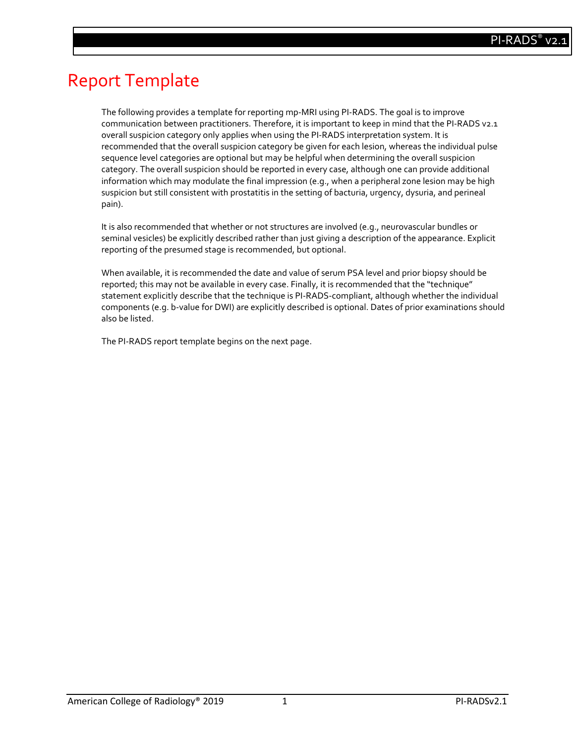# Report Template

The following provides a template for reporting mp-MRI using PI-RADS. The goal is to improve communication between practitioners. Therefore, it is important to keep in mind that the PI-RADS v2.1 overall suspicion category only applies when using the PI-RADS interpretation system. It is recommended that the overall suspicion category be given for each lesion, whereas the individual pulse sequence level categories are optional but may be helpful when determining the overall suspicion category. The overall suspicion should be reported in every case, although one can provide additional information which may modulate the final impression (e.g., when a peripheral zone lesion may be high suspicion but still consistent with prostatitis in the setting of bacturia, urgency, dysuria, and perineal pain).

It is also recommended that whether or not structures are involved (e.g., neurovascular bundles or seminal vesicles) be explicitly described rather than just giving a description of the appearance. Explicit reporting of the presumed stage is recommended, but optional.

When available, it is recommended the date and value of serum PSA level and prior biopsy should be reported; this may not be available in every case. Finally, it is recommended that the "technique" statement explicitly describe that the technique is PI-RADS-compliant, although whether the individual components (e.g. b-value for DWI) are explicitly described is optional. Dates of prior examinations should also be listed.

The PI-RADS report template begins on the next page.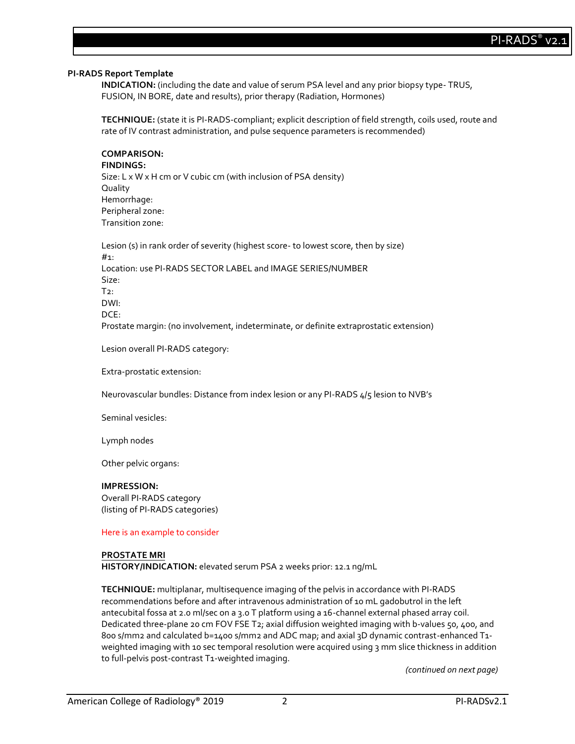## **PI-RADS Report Template**

**INDICATION:** (including the date and value of serum PSA level and any prior biopsy type- TRUS, FUSION, IN BORE, date and results), prior therapy (Radiation, Hormones)

**TECHNIQUE:** (state it is PI-RADS-compliant; explicit description of field strength, coils used, route and rate of IV contrast administration, and pulse sequence parameters is recommended)

**COMPARISON:** 

**FINDINGS:** 

Size: L x W x H cm or V cubic cm (with inclusion of PSA density) Quality Hemorrhage: Peripheral zone: Transition zone:

Lesion (s) in rank order of severity (highest score- to lowest score, then by size) #1: Location: use PI-RADS SECTOR LABEL and IMAGE SERIES/NUMBER Size:  $T2$ : DWI: DCE: Prostate margin: (no involvement, indeterminate, or definite extraprostatic extension)

Lesion overall PI-RADS category:

Extra-prostatic extension:

Neurovascular bundles: Distance from index lesion or any PI-RADS 4/5 lesion to NVB's

Seminal vesicles:

Lymph nodes

Other pelvic organs:

#### **IMPRESSION:**

Overall PI-RADS category (listing of PI-RADS categories)

Here is an example to consider

# **PROSTATE MRI**

**HISTORY/INDICATION:** elevated serum PSA 2 weeks prior: 12.1 ng/mL

**TECHNIQUE:** multiplanar, multisequence imaging of the pelvis in accordance with PI-RADS recommendations before and after intravenous administration of 10 mL gadobutrol in the left antecubital fossa at 2.0 ml/sec on a 3.0 T platform using a 16-channel external phased array coil. Dedicated three-plane 20 cm FOV FSE T2; axial diffusion weighted imaging with b-values 50, 400, and 800 s/mm2 and calculated b=1400 s/mm2 and ADC map; and axial 3D dynamic contrast-enhanced T1weighted imaging with 10 sec temporal resolution were acquired using 3 mm slice thickness in addition to full-pelvis post-contrast T1-weighted imaging.

*(continued on next page)*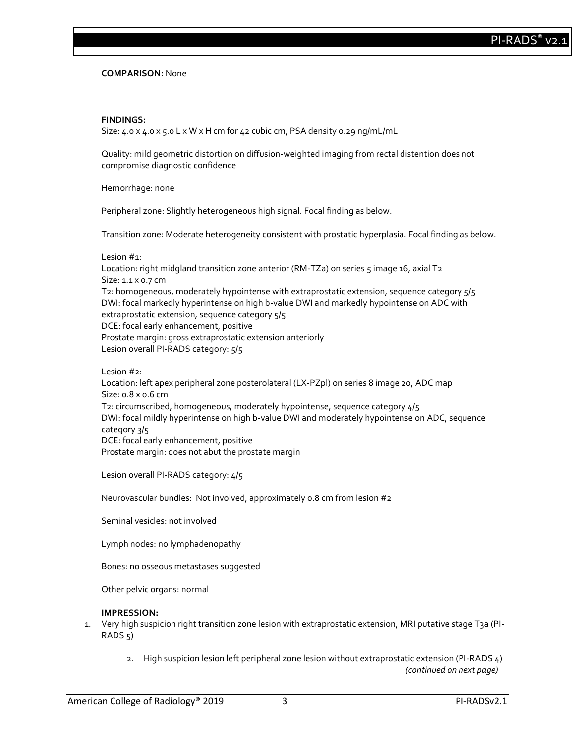**COMPARISON:** None

## **FINDINGS:**

Size:  $4.0 \times 4.0 \times 5.0$  L  $\times$  W  $\times$  H cm for  $42$  cubic cm, PSA density 0.29 ng/mL/mL

Quality: mild geometric distortion on diffusion-weighted imaging from rectal distention does not compromise diagnostic confidence

Hemorrhage: none

Peripheral zone: Slightly heterogeneous high signal. Focal finding as below.

Transition zone: Moderate heterogeneity consistent with prostatic hyperplasia. Focal finding as below.

#### Lesion #1:

Location: right midgland transition zone anterior (RM-TZa) on series 5 image 16, axial T2 Size: 1.1 x 0.7 cm T2: homogeneous, moderately hypointense with extraprostatic extension, sequence category 5/5 DWI: focal markedly hyperintense on high b-value DWI and markedly hypointense on ADC with extraprostatic extension, sequence category  $5/5$ DCE: focal early enhancement, positive Prostate margin: gross extraprostatic extension anteriorly Lesion overall PI-RADS category:  $5/5$ 

Lesion #2:

Location: left apex peripheral zone posterolateral (LX-PZpl) on series 8 image 20, ADC map Size: 0.8 x 0.6 cm T2: circumscribed, homogeneous, moderately hypointense, sequence category 4/5 DWI: focal mildly hyperintense on high b-value DWI and moderately hypointense on ADC, sequence category 3/5 DCE: focal early enhancement, positive Prostate margin: does not abut the prostate margin

Lesion overall PI-RADS category: 4/5

Neurovascular bundles: Not involved, approximately 0.8 cm from lesion #2

Seminal vesicles: not involved

Lymph nodes: no lymphadenopathy

Bones: no osseous metastases suggested

Other pelvic organs: normal

# **IMPRESSION:**

- 1. Very high suspicion right transition zone lesion with extraprostatic extension, MRI putative stage T3a (PI- $RADS$ <sub>5</sub>)
	- 2. High suspicion lesion left peripheral zone lesion without extraprostatic extension (PI-RADS 4) *(continued on next page)*